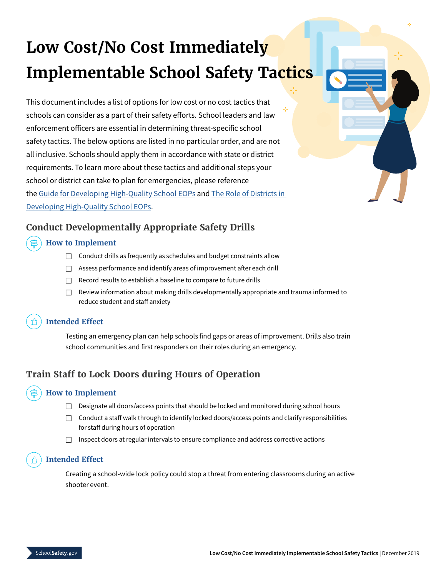# **Low Cost/No Cost Immediately Implementable School Safety Tactics**

This document includes a list of options for low cost or no cost tactics that schools can consider as a part of their safety efforts. School leaders and law enforcement officers are essential in determining threat-specific school safety tactics. The below options are listed in no particular order, and are not all inclusive. Schools should apply them in accordance with state or district requirements. To learn more about these tactics and additional steps your school or district can take to plan for emergencies, please reference the [Guide for Developing High-Quality School EOPs](https://rems.ed.gov/docs/Guide_for_Developing_HQ_School_EOPs.pdf) and [The Role of Districts in](https://rems.ed.gov/docs/District_Guide_508C.pdf)  [Developing High-Quality School EOPs](https://rems.ed.gov/docs/District_Guide_508C.pdf).

# **Conduct Developmentally Appropriate Safety Drills**

## **How to Implement**

- $\Box$  Conduct drills as frequently as schedules and budget constraints allow
- □ Assess performance and identify areas of improvement after each drill
- $\Box$  Record results to establish a baseline to compare to future drills
- $\Box$  Review information about making drills developmentally appropriate and trauma informed to reduce student and staff anxiety

#### **Intended Effect**

Testing an emergency plan can help schools find gaps or areas of improvement. Drills also train school communities and first responders on their roles during an emergency.

# **Train Staff to Lock Doors during Hours of Operation**

## **How to Implement**

- $\Box$  Designate all doors/access points that should be locked and monitored during school hours
- $\Box$  Conduct a staff walk through to identify locked doors/access points and clarify responsibilities for staff during hours of operation
- $\Box$  Inspect doors at regular intervals to ensure compliance and address corrective actions

## **Intended Effect**

Creating a school-wide lock policy could stop a threat from entering classrooms during an active shooter event.